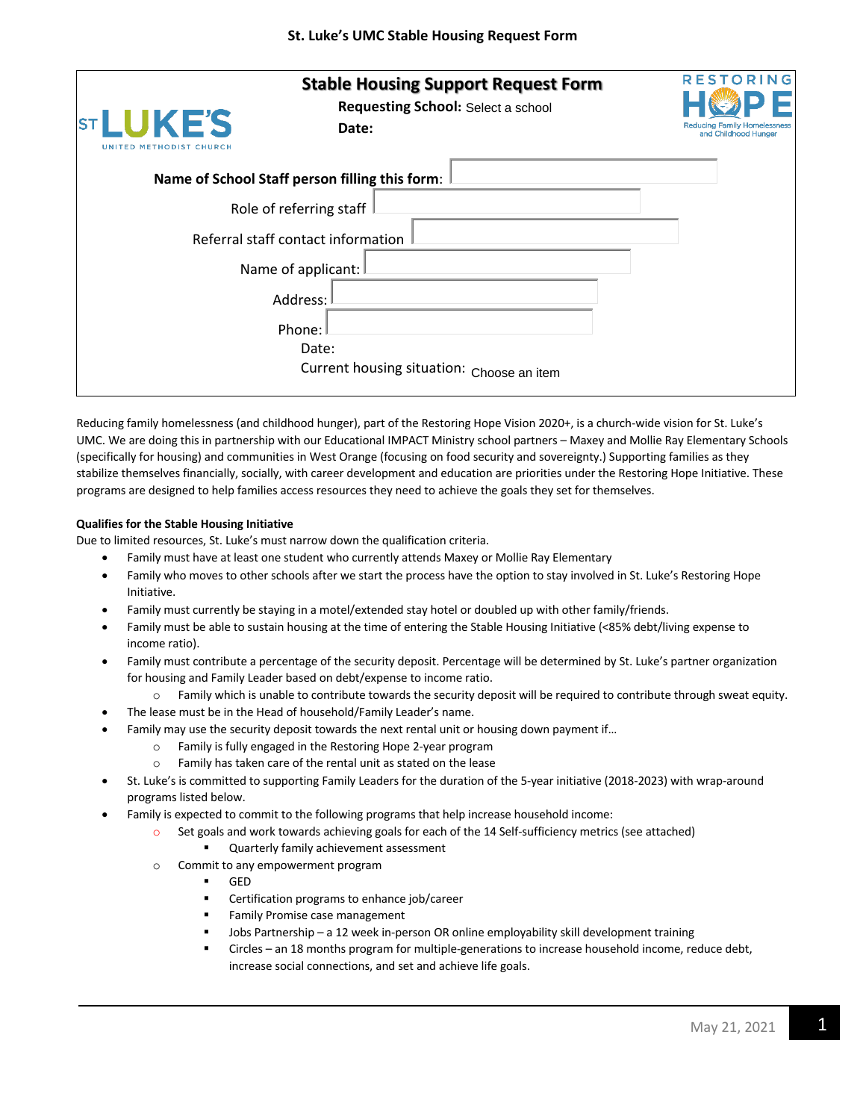| <b>STLUKE'S</b><br>UNITED METHODIST CHURCH | Date:                                          | <b>Stable Housing Support Request Form</b><br>Requesting School: Select a school | <b>RESTOR</b><br><b>Reducing Family Homelessness</b><br>and Childhood Hunger |
|--------------------------------------------|------------------------------------------------|----------------------------------------------------------------------------------|------------------------------------------------------------------------------|
|                                            | Name of School Staff person filling this form: |                                                                                  |                                                                              |
|                                            | Role of referring staff                        |                                                                                  |                                                                              |
|                                            | Referral staff contact information             |                                                                                  |                                                                              |
|                                            | Name of applicant:                             |                                                                                  |                                                                              |
|                                            | Address:                                       |                                                                                  |                                                                              |
|                                            | Phone:                                         |                                                                                  |                                                                              |
|                                            | Date:                                          |                                                                                  |                                                                              |
|                                            |                                                | Current housing situation: Choose an item                                        |                                                                              |

Reducing family homelessness (and childhood hunger), part of the Restoring Hope Vision 2020+, is a church-wide vision for St. Luke's UMC. We are doing this in partnership with our Educational IMPACT Ministry school partners – Maxey and Mollie Ray Elementary Schools (specifically for housing) and communities in West Orange (focusing on food security and sovereignty.) Supporting families as they stabilize themselves financially, socially, with career development and education are priorities under the Restoring Hope Initiative. These programs are designed to help families access resources they need to achieve the goals they set for themselves.

## **Qualifies for the Stable Housing Initiative**

Due to limited resources, St. Luke's must narrow down the qualification criteria.

- Family must have at least one student who currently attends Maxey or Mollie Ray Elementary
- Family who moves to other schools after we start the process have the option to stay involved in St. Luke's Restoring Hope Initiative.
- Family must currently be staying in a motel/extended stay hotel or doubled up with other family/friends.
- Family must be able to sustain housing at the time of entering the Stable Housing Initiative (<85% debt/living expense to income ratio).
- Family must contribute a percentage of the security deposit. Percentage will be determined by St. Luke's partner organization for housing and Family Leader based on debt/expense to income ratio.
	- $\circ$  Family which is unable to contribute towards the security deposit will be required to contribute through sweat equity.
	- The lease must be in the Head of household/Family Leader's name.
- Family may use the security deposit towards the next rental unit or housing down payment if...
	- o Family is fully engaged in the Restoring Hope 2-year program
	- o Family has taken care of the rental unit as stated on the lease
- St. Luke's is committed to supporting Family Leaders for the duration of the 5-year initiative (2018-2023) with wrap-around programs listed below.
- Family is expected to commit to the following programs that help increase household income:
	- o Set goals and work towards achieving goals for each of the 14 Self-sufficiency metrics (see attached)
		- § Quarterly family achievement assessment
		- o Commit to any empowerment program
			- § GED
			- § Certification programs to enhance job/career
			- Family Promise case management
			- Jobs Partnership a 12 week in-person OR online employability skill development training
			- Circles an 18 months program for multiple-generations to increase household income, reduce debt, increase social connections, and set and achieve life goals.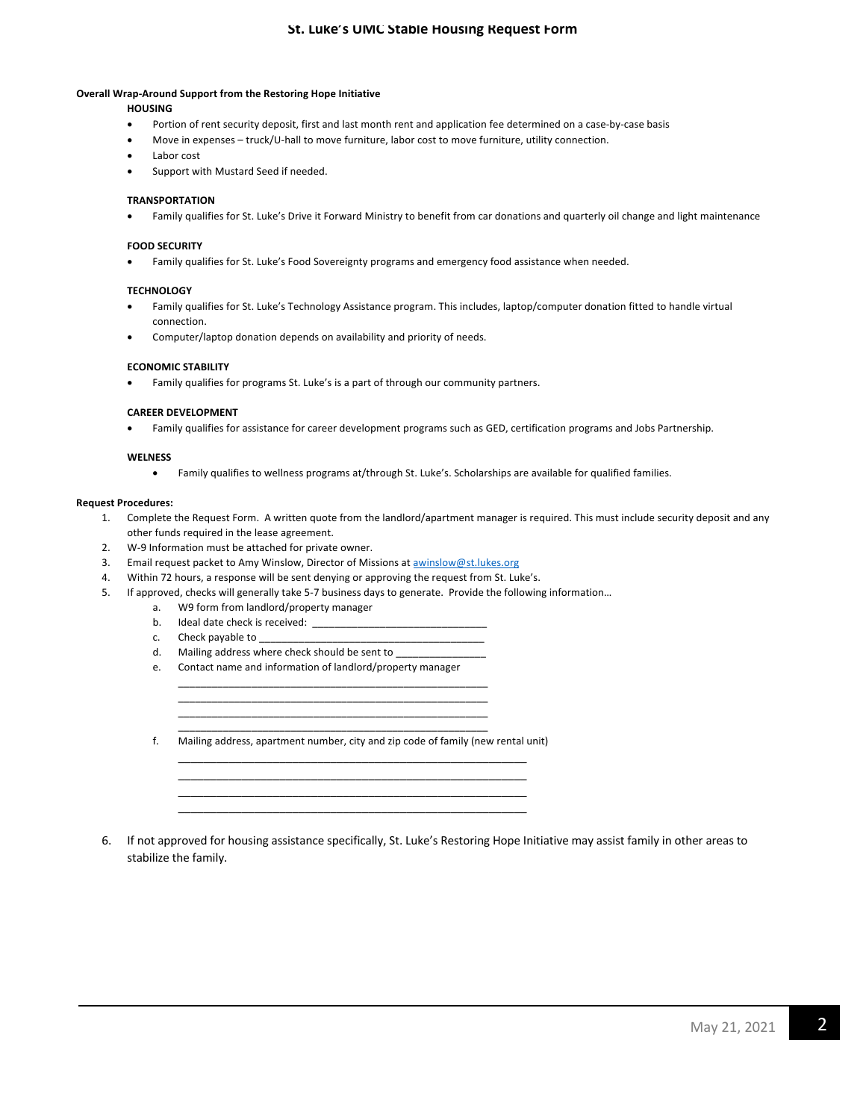#### **Overall Wrap-Around Support from the Restoring Hope Initiative**

**HOUSING** 

- Portion of rent security deposit, first and last month rent and application fee determined on a case-by-case basis
- Move in expenses truck/U-hall to move furniture, labor cost to move furniture, utility connection.
- Labor cost
- Support with Mustard Seed if needed.

#### **TRANSPORTATION**

• Family qualifies for St. Luke's Drive it Forward Ministry to benefit from car donations and quarterly oil change and light maintenance

#### **FOOD SECURITY**

• Family qualifies for St. Luke's Food Sovereignty programs and emergency food assistance when needed.

#### **TECHNOLOGY**

- Family qualifies for St. Luke's Technology Assistance program. This includes, laptop/computer donation fitted to handle virtual connection.
- Computer/laptop donation depends on availability and priority of needs.

#### **ECONOMIC STABILITY**

• Family qualifies for programs St. Luke's is a part of through our community partners.

#### **CAREER DEVELOPMENT**

• Family qualifies for assistance for career development programs such as GED, certification programs and Jobs Partnership.

#### **WELNESS**

• Family qualifies to wellness programs at/through St. Luke's. Scholarships are available for qualified families.

#### **Request Procedures:**

- 1. Complete the Request Form. A written quote from the landlord/apartment manager is required. This must include security deposit and any other funds required in the lease agreement.
- 2. W-9 Information must be attached for private owner.
- 3. Email request packet to Amy Winslow, Director of Missions at awinslow@st.lukes.org
- 4. Within 72 hours, a response will be sent denying or approving the request from St. Luke's.
- 5. If approved, checks will generally take 5-7 business days to generate. Provide the following information…
	- a. W9 form from landlord/property manager
	- b. Ideal date check is received: \_\_\_\_\_\_\_\_\_\_\_\_\_\_\_\_\_\_\_\_\_\_\_\_\_\_\_\_\_\_\_
	- c. Check payable to \_\_\_\_\_\_
	- d. Mailing address where check should be sent to \_\_\_\_\_\_\_\_
	- e. Contact name and information of landlord/property manager

\_\_\_\_\_\_\_\_\_\_\_\_\_\_\_\_\_\_\_\_\_\_\_\_\_\_\_\_\_\_\_\_\_\_\_\_\_\_\_\_\_\_\_\_\_\_\_\_\_\_\_\_\_\_\_ \_\_\_\_\_\_\_\_\_\_\_\_\_\_\_\_\_\_\_\_\_\_\_\_\_\_\_\_\_\_\_\_\_\_\_\_\_\_\_\_\_\_\_\_\_\_\_\_\_\_\_\_\_\_\_ \_\_\_\_\_\_\_\_\_\_\_\_\_\_\_\_\_\_\_\_\_\_\_\_\_\_\_\_\_\_\_\_\_\_\_\_\_\_\_\_\_\_\_\_\_\_\_\_\_\_\_\_\_\_\_

\_\_\_\_\_\_\_\_\_\_\_\_\_\_\_\_\_\_\_\_\_\_\_\_\_\_\_\_\_\_\_\_\_\_\_\_\_\_\_\_\_\_\_\_\_\_\_\_\_\_\_\_\_\_\_ f. Mailing address, apartment number, city and zip code of family (new rental unit) \_\_\_\_\_\_\_\_\_\_\_\_\_\_\_\_\_\_\_\_\_\_\_\_\_\_\_\_\_\_\_\_\_\_\_\_\_\_\_\_\_\_\_\_\_\_\_\_\_\_\_\_\_\_\_

\_\_\_\_\_\_\_\_\_\_\_\_\_\_\_\_\_\_\_\_\_\_\_\_\_\_\_\_\_\_\_\_\_\_\_\_\_\_\_\_\_\_\_\_\_\_\_\_\_\_\_\_\_\_\_ \_\_\_\_\_\_\_\_\_\_\_\_\_\_\_\_\_\_\_\_\_\_\_\_\_\_\_\_\_\_\_\_\_\_\_\_\_\_\_\_\_\_\_\_\_\_\_\_\_\_\_\_\_\_\_ \_\_\_\_\_\_\_\_\_\_\_\_\_\_\_\_\_\_\_\_\_\_\_\_\_\_\_\_\_\_\_\_\_\_\_\_\_\_\_\_\_\_\_\_\_\_\_\_\_\_\_\_\_\_\_

6. If not approved for housing assistance specifically, St. Luke's Restoring Hope Initiative may assist family in other areas to stabilize the family.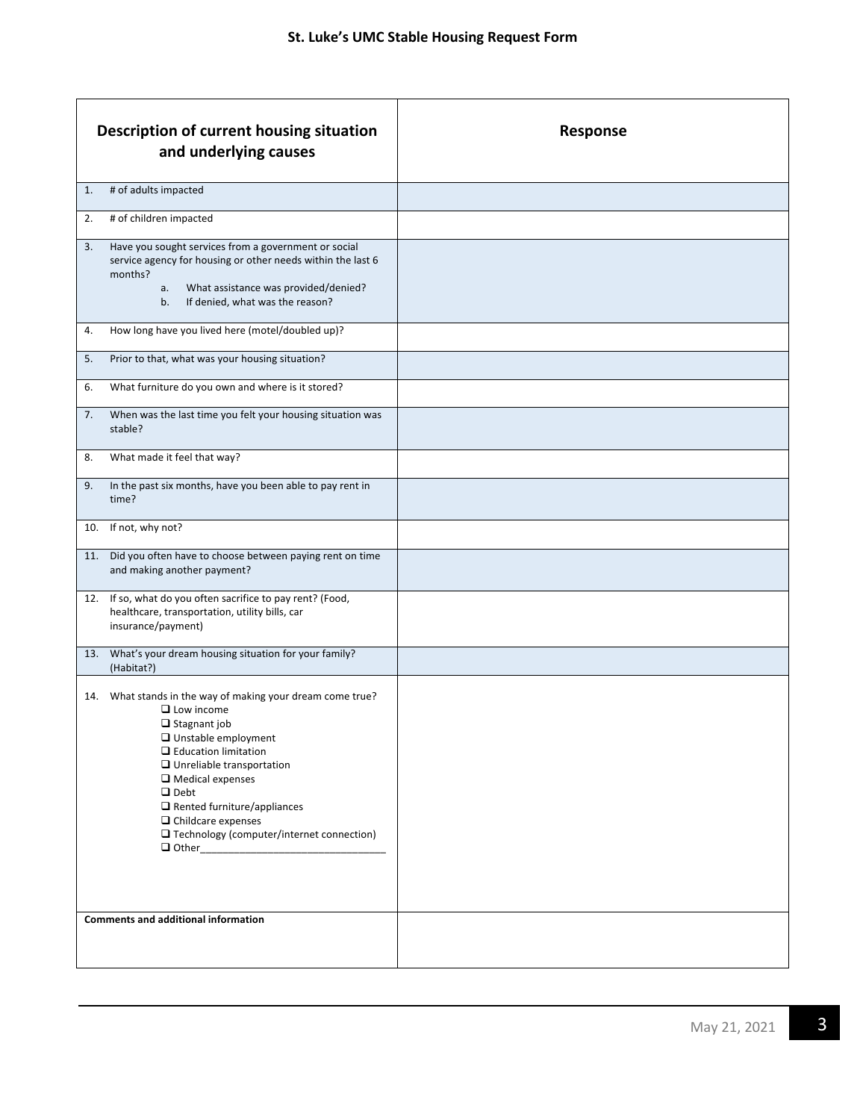| Description of current housing situation<br>and underlying causes                                                                                                                                                                                                                                                                                              | Response |
|----------------------------------------------------------------------------------------------------------------------------------------------------------------------------------------------------------------------------------------------------------------------------------------------------------------------------------------------------------------|----------|
| # of adults impacted<br>1.                                                                                                                                                                                                                                                                                                                                     |          |
| # of children impacted<br>2.                                                                                                                                                                                                                                                                                                                                   |          |
| Have you sought services from a government or social<br>3.<br>service agency for housing or other needs within the last 6<br>months?<br>What assistance was provided/denied?<br>a.<br>If denied, what was the reason?<br>b.                                                                                                                                    |          |
| How long have you lived here (motel/doubled up)?<br>4.                                                                                                                                                                                                                                                                                                         |          |
| Prior to that, what was your housing situation?<br>5.                                                                                                                                                                                                                                                                                                          |          |
| 6.<br>What furniture do you own and where is it stored?                                                                                                                                                                                                                                                                                                        |          |
| When was the last time you felt your housing situation was<br>7.<br>stable?                                                                                                                                                                                                                                                                                    |          |
| What made it feel that way?<br>8.                                                                                                                                                                                                                                                                                                                              |          |
| In the past six months, have you been able to pay rent in<br>9.<br>time?                                                                                                                                                                                                                                                                                       |          |
| 10. If not, why not?                                                                                                                                                                                                                                                                                                                                           |          |
| 11. Did you often have to choose between paying rent on time<br>and making another payment?                                                                                                                                                                                                                                                                    |          |
| 12. If so, what do you often sacrifice to pay rent? (Food,<br>healthcare, transportation, utility bills, car<br>insurance/payment)                                                                                                                                                                                                                             |          |
| What's your dream housing situation for your family?<br>13.<br>(Habitat?)                                                                                                                                                                                                                                                                                      |          |
| 14. What stands in the way of making your dream come true?<br>$\Box$ Low income<br>$\Box$ Stagnant job<br>□ Unstable employment<br>$\Box$ Education limitation<br>$\Box$ Unreliable transportation<br>$\Box$ Medical expenses<br>$\Box$ Debt<br>$\Box$ Rented furniture/appliances<br>$\Box$ Childcare expenses<br>□ Technology (computer/internet connection) |          |
| <b>Comments and additional information</b>                                                                                                                                                                                                                                                                                                                     |          |